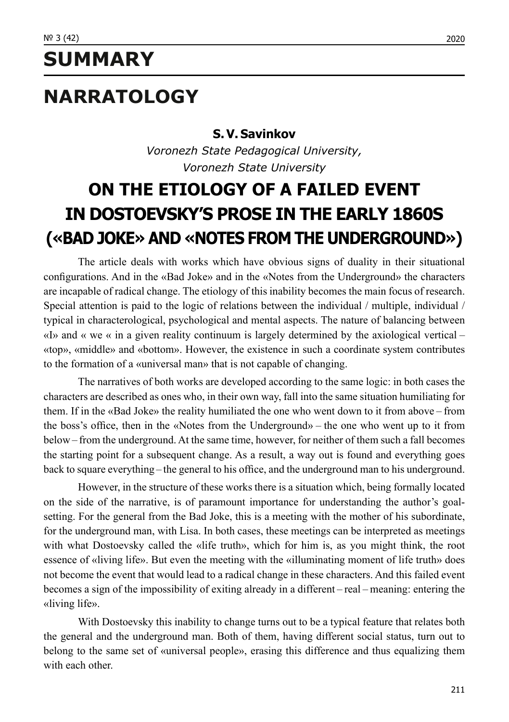## **SUMMARY**

# **NARRATOLOGY**

#### **S. V. Savinkov**

*Voronezh State Pedagogical University, Voronezh State University*

## **ON THE ETIOLOGY OF A FAILED EVENT IN DOSTOEVSKY'S PROSE IN THE EARLY 1860S («BAD JOKE» AND «NOTES FROM THE UNDERGROUND»)**

The article deals with works which have obvious signs of duality in their situational configurations. And in the «Bad Joke» and in the «Notes from the Underground» the characters are incapable of radical change. The etiology of this inability becomes the main focus of research. Special attention is paid to the logic of relations between the individual / multiple, individual / typical in characterological, psychological and mental aspects. The nature of balancing between «I» and « we « in a given reality continuum is largely determined by the axiological vertical – «top», «middle» and «bottom». However, the existence in such a coordinate system contributes to the formation of a «universal man» that is not capable of changing.

The narratives of both works are developed according to the same logic: in both cases the characters are described as ones who, in their own way, fall into the same situation humiliating for them. If in the «Bad Joke» the reality humiliated the one who went down to it from above – from the boss's office, then in the «Notes from the Underground» – the one who went up to it from below – from the underground. At the same time, however, for neither of them such a fall becomes the starting point for a subsequent change. As a result, a way out is found and everything goes back to square everything – the general to his office, and the underground man to his underground.

However, in the structure of these works there is a situation which, being formally located on the side of the narrative, is of paramount importance for understanding the author's goalsetting. For the general from the Bad Joke, this is a meeting with the mother of his subordinate, for the underground man, with Lisa. In both cases, these meetings can be interpreted as meetings with what Dostoevsky called the «life truth», which for him is, as you might think, the root essence of «living life». But even the meeting with the «illuminating moment of life truth» does not become the event that would lead to a radical change in these characters. And this failed event becomes a sign of the impossibility of exiting already in a different – real – meaning: entering the «living life».

With Dostoevsky this inability to change turns out to be a typical feature that relates both the general and the underground man. Both of them, having different social status, turn out to belong to the same set of «universal people», erasing this difference and thus equalizing them with each other.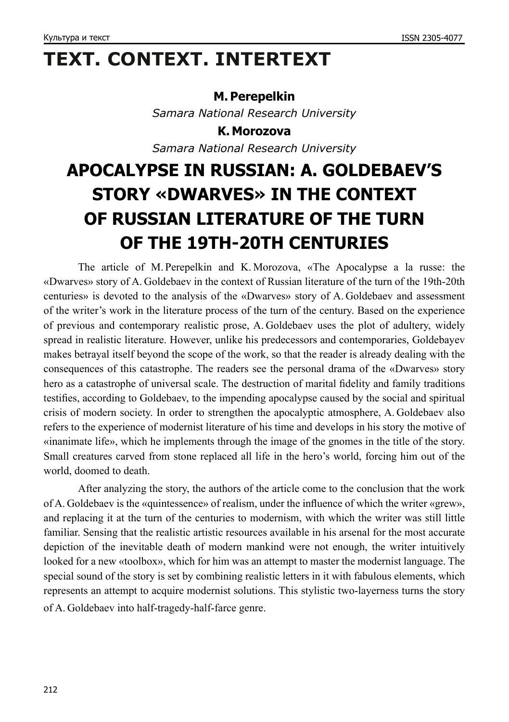# **TEXT. CONTEXT. INTERTEXT**

#### **M. Perepelkin**

*Samara National Research University*

**K. Morozova** *Samara National Research University*

# **APOCALYPSE IN RUSSIAN: A. GOLDEBAEV'S STORY «DWARVES» IN THE CONTEXT OF RUSSIAN LITERATURE OF THE TURN OF THE 19TH‑20TH CENTURIES**

The article of M. Perepelkin and K. Morozova, «The Apocalypse a la russe: the «Dwarves» story of A. Goldebaev in the context of Russian literature of the turn of the 19th‑20th centuries» is devoted to the analysis of the «Dwarves» story of A. Goldebaev and assessment of the writer's work in the literature process of the turn of the century. Based on the experience of previous and contemporary realistic prose, A. Goldebaev uses the plot of adultery, widely spread in realistic literature. However, unlike his predecessors and contemporaries, Goldebayev makes betrayal itself beyond the scope of the work, so that the reader is already dealing with the consequences of this catastrophe. The readers see the personal drama of the «Dwarves» story hero as a catastrophe of universal scale. The destruction of marital fidelity and family traditions testifies, according to Goldebaev, to the impending apocalypse caused by the social and spiritual crisis of modern society. In order to strengthen the apocalyptic atmosphere, A. Goldebaev also refers to the experience of modernist literature of his time and develops in his story the motive of «inanimate life», which he implements through the image of the gnomes in the title of the story. Small creatures carved from stone replaced all life in the hero's world, forcing him out of the world, doomed to death.

After analyzing the story, the authors of the article come to the conclusion that the work of A. Goldebaev is the «quintessence» of realism, under the influence of which the writer «grew», and replacing it at the turn of the centuries to modernism, with which the writer was still little familiar. Sensing that the realistic artistic resources available in his arsenal for the most accurate depiction of the inevitable death of modern mankind were not enough, the writer intuitively looked for a new «toolbox», which for him was an attempt to master the modernist language. The special sound of the story is set by combining realistic letters in it with fabulous elements, which represents an attempt to acquire modernist solutions. This stylistic two-layerness turns the story of A. Goldebaev into half-tragedy-half-farce genre.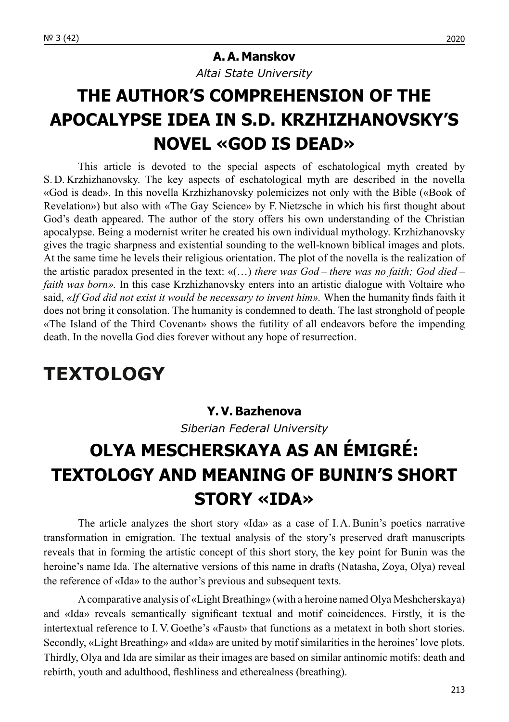#### **A. A. Manskov**

*Altai State University*

## **THE AUTHOR'S COMPREHENSION OF THE APOCALYPSE IDEA IN S.D. KRZHIZHANOVSKY'S NOVEL «GOD IS DEAD»**

This article is devoted to the special aspects of eschatological myth created by S. D. Krzhizhanovsky. The key aspects of eschatological myth are described in the novella «God is dead». In this novella Krzhizhanovsky polemicizes not only with the Bible («Book of Revelation») but also with «The Gay Science» by F. Nietzsche in which his first thought about God's death appeared. The author of the story offers his own understanding of the Christian apocalypse. Being a modernist writer he created his own individual mythology. Krzhizhanovsky gives the tragic sharpness and existential sounding to the well-known biblical images and plots. At the same time he levels their religious orientation. The plot of the novella is the realization of the artistic paradox presented in the text: «(…) *there was God – there was no faith; God died – faith was born»*. In this case Krzhizhanovsky enters into an artistic dialogue with Voltaire who said, *«If God did not exist it would be necessary to invent him».* When the humanity finds faith it does not bring it consolation. The humanity is condemned to death. The last stronghold of people «The Island of the Third Covenant» shows the futility of all endeavors before the impending death. In the novella God dies forever without any hope of resurrection.

### **TEXTOLOGY**

#### **Y. V. Bazhenova**

*Siberian Federal University*

# **OLYA MESCHERSKAYA AS AN ÉMIGRÉ: TEXTOLOGY AND MEANING OF BUNIN'S SHORT STORY «IDA»**

The article analyzes the short story «Ida» as a case of I.A. Bunin's poetics narrative transformation in emigration. The textual analysis of the story's preserved draft manuscripts reveals that in forming the artistic concept of this short story, the key point for Bunin was the heroine's name Ida. The alternative versions of this name in drafts (Natasha, Zoya, Olya) reveal the reference of «Ida» to the author's previous and subsequent texts.

Acomparative analysis of «Light Breathing» (with a heroine named Olya Meshcherskaya) and «Ida» reveals semantically significant textual and motif coincidences. Firstly, it is the intertextual reference to I. V. Goethe's «Faust» that functions as a metatext in both short stories. Secondly, «Light Breathing» and «Ida» are united by motif similarities in the heroines' love plots. Thirdly, Olya and Ida are similar as their images are based on similar antinomic motifs: death and rebirth, youth and adulthood, fleshliness and etherealness (breathing).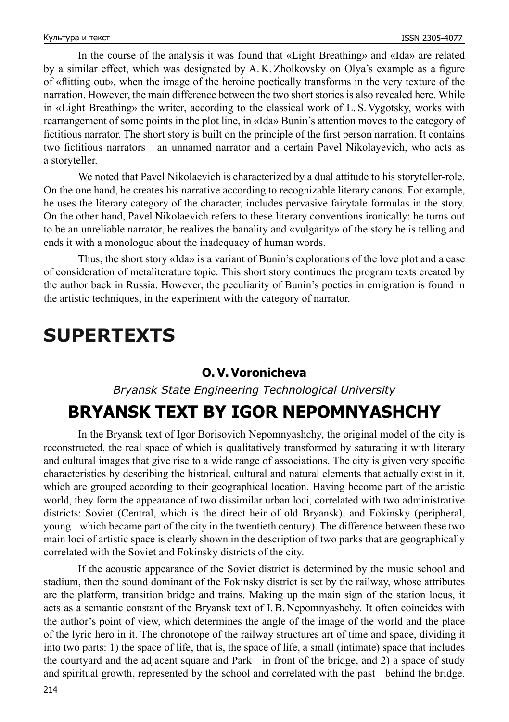In the course of the analysis it was found that «Light Breathing» and «Ida» are related by a similar effect, which was designated by A. K. Zholkovsky on Olya's example as a figure of «flitting out», when the image of the heroine poetically transforms in the very texture of the narration. However, the main difference between the two short stories is also revealed here. While in «Light Breathing» the writer, according to the classical work of L. S. Vygotsky, works with rearrangement of some points in the plot line, in «Ida» Bunin's attention moves to the category of fictitious narrator. The short story is built on the principle of the first person narration. It contains two fictitious narrators – an unnamed narrator and a certain Pavel Nikolayevich, who acts as a storyteller.

We noted that Pavel Nikolaevich is characterized by a dual attitude to his storyteller-role. On the one hand, he creates his narrative according to recognizable literary canons. For example, he uses the literary category of the character, includes pervasive fairytale formulas in the story. On the other hand, Pavel Nikolaevich refers to these literary conventions ironically: he turns out to be an unreliable narrator, he realizes the banality and «vulgarity» of the story he is telling and ends it with a monologue about the inadequacy of human words.

Thus, the short story «Ida» is a variant of Bunin's explorations of the love plot and a case of consideration of metaliterature topic. This short story continues the program texts created by the author back in Russia. However, the peculiarity of Bunin's poetics in emigration is found in the artistic techniques, in the experiment with the category of narrator.

### **SUPERTEXTS**

#### **O. V. Voronicheva**

*Bryansk State Engineering Technological University*

### **BRYANSK TEXT BY IGOR NEPOMNYASHCHY**

In the Bryansk text of Igor Borisovich Nepomnyashchy, the original model of the city is reconstructed, the real space of which is qualitatively transformed by saturating it with literary and cultural images that give rise to a wide range of associations. The city is given very specific characteristics by describing the historical, cultural and natural elements that actually exist in it, which are grouped according to their geographical location. Having become part of the artistic world, they form the appearance of two dissimilar urban loci, correlated with two administrative districts: Soviet (Central, which is the direct heir of old Bryansk), and Fokinsky (peripheral, young – which became part of the city in the twentieth century). The difference between these two main loci of artistic space is clearly shown in the description of two parks that are geographically correlated with the Soviet and Fokinsky districts of the city.

If the acoustic appearance of the Soviet district is determined by the music school and stadium, then the sound dominant of the Fokinsky district is set by the railway, whose attributes are the platform, transition bridge and trains. Making up the main sign of the station locus, it acts as a semantic constant of the Bryansk text of I.B. Nepomnyashchy. It often coincides with the author's point of view, which determines the angle of the image of the world and the place of the lyric hero in it. The chronotope of the railway structures art of time and space, dividing it into two parts: 1) the space of life, that is, the space of life, a small (intimate) space that includes the courtyard and the adjacent square and Park – in front of the bridge, and 2) a space of study and spiritual growth, represented by the school and correlated with the past – behind the bridge.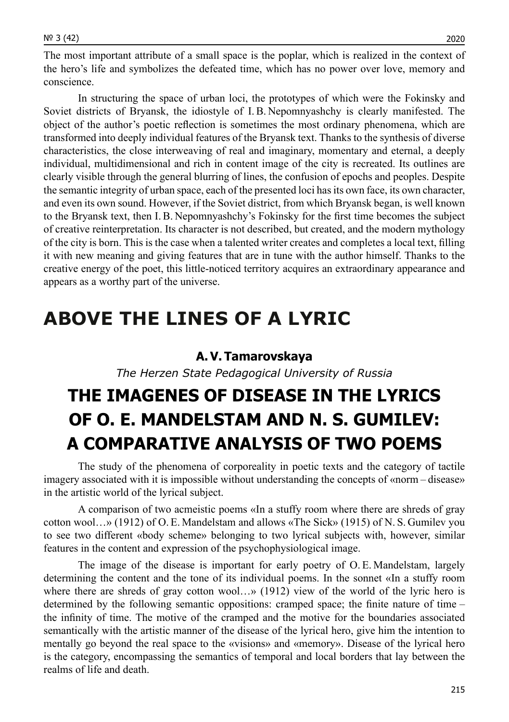The most important attribute of a small space is the poplar, which is realized in the context of the hero's life and symbolizes the defeated time, which has no power over love, memory and conscience.

In structuring the space of urban loci, the prototypes of which were the Fokinsky and Soviet districts of Bryansk, the idiostyle of I. B. Nepomnyashchy is clearly manifested. The object of the author's poetic reflection is sometimes the most ordinary phenomena, which are transformed into deeply individual features of the Bryansk text. Thanks to the synthesis of diverse characteristics, the close interweaving of real and imaginary, momentary and eternal, a deeply individual, multidimensional and rich in content image of the city is recreated. Its outlines are clearly visible through the general blurring of lines, the confusion of epochs and peoples. Despite the semantic integrity of urban space, each of the presented loci has its own face, its own character, and even its own sound. However, if the Soviet district, from which Bryansk began, is well known to the Bryansk text, then I.B. Nepomnyashchy's Fokinsky for the first time becomes the subject of creative reinterpretation. Its character is not described, but created, and the modern mythology of the city is born. This is the case when a talented writer creates and completes a local text, filling it with new meaning and giving features that are in tune with the author himself. Thanks to the creative energy of the poet, this little-noticed territory acquires an extraordinary appearance and appears as a worthy part of the universe.

### **ABOVE THE LINES OF A LYRIC**

#### **A. V. Tamarovskaya**

*The Herzen State Pedagogical University of Russia*

## **THE IMAGENES OF DISEASE IN THE LYRICS OF O. E. MANDELSTAM AND N. S. GUMILEV: A COMPARATIVE ANALYSIS OF TWO POEMS**

The study of the phenomena of corporeality in poetic texts and the category of tactile imagery associated with it is impossible without understanding the concepts of «norm – disease» in the artistic world of the lyrical subject.

A comparison of two acmeistic poems «In a stuffy room where there are shreds of gray cotton wool…» (1912) of O. E. Mandelstam and allows «The Sick» (1915) of N. S. Gumilev you to see two different «body scheme» belonging to two lyrical subjects with, however, similar features in the content and expression of the psychophysiological image.

The image of the disease is important for early poetry of O. E. Mandelstam, largely determining the content and the tone of its individual poems. In the sonnet «In a stuffy room where there are shreds of gray cotton wool...» (1912) view of the world of the lyric hero is determined by the following semantic oppositions: cramped space; the finite nature of time – the infinity of time. The motive of the cramped and the motive for the boundaries associated semantically with the artistic manner of the disease of the lyrical hero, give him the intention to mentally go beyond the real space to the «visions» and «memory». Disease of the lyrical hero is the category, encompassing the semantics of temporal and local borders that lay between the realms of life and death.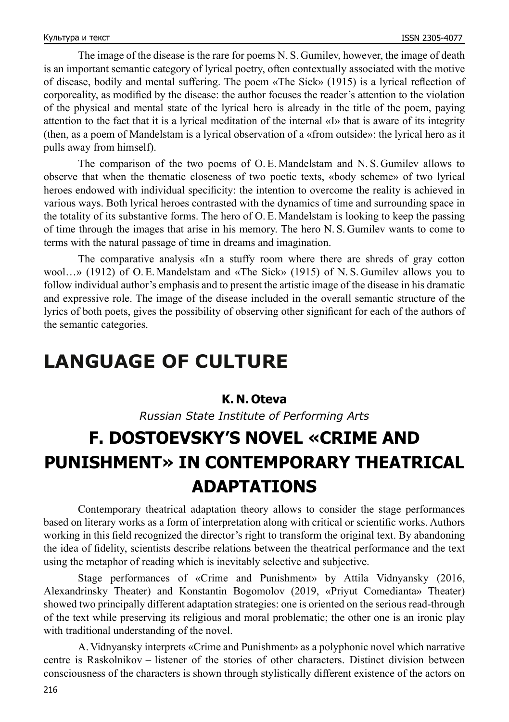The image of the disease is the rare for poems N. S. Gumilev, however, the image of death is an important semantic category of lyrical poetry, often contextually associated with the motive of disease, bodily and mental suffering. The poem «The Sick» (1915) is a lyrical reflection of corporeality, as modified by the disease: the author focuses the reader's attention to the violation of the physical and mental state of the lyrical hero is already in the title of the poem, paying attention to the fact that it is a lyrical meditation of the internal «I» that is aware of its integrity (then, as a poem of Mandelstam is a lyrical observation of a «from outside»: the lyrical hero as it pulls away from himself).

The comparison of the two poems of O. E. Mandelstam and N. S. Gumilev allows to observe that when the thematic closeness of two poetic texts, «body scheme» of two lyrical heroes endowed with individual specificity: the intention to overcome the reality is achieved in various ways. Both lyrical heroes contrasted with the dynamics of time and surrounding space in the totality of its substantive forms. The hero of O. E. Mandelstam is looking to keep the passing of time through the images that arise in his memory. The hero N. S. Gumilev wants to come to terms with the natural passage of time in dreams and imagination.

The comparative analysis «In a stuffy room where there are shreds of gray cotton wool…» (1912) of O. E. Mandelstam and «The Sick» (1915) of N. S. Gumilev allows you to follow individual author's emphasis and to present the artistic image of the disease in his dramatic and expressive role. The image of the disease included in the overall semantic structure of the lyrics of both poets, gives the possibility of observing other significant for each of the authors of the semantic categories.

# **LANGUAGE OF CULTURE**

### **K. N. Oteva**

*Russian State Institute of Performing Arts*

# **F. DOSTOEVSKY'S NOVEL «CRIME AND PUNISHMENT» IN CONTEMPORARY THEATRICAL ADAPTATIONS**

Contemporary theatrical adaptation theory allows to consider the stage performances based on literary works as a form of interpretation along with critical or scientific works. Authors working in this field recognized the director's right to transform the original text. By abandoning the idea of fidelity, scientists describe relations between the theatrical performance and the text using the metaphor of reading which is inevitably selective and subjective.

Stage performances of «Crime and Punishment» by Attila Vidnyansky (2016, Alexandrinsky Theater) and Konstantin Bogomolov (2019, «Priyut Comedianta» Theater) showed two principally different adaptation strategies: one is oriented on the serious read-through of the text while preserving its religious and moral problematic; the other one is an ironic play with traditional understanding of the novel.

A. Vidnyansky interprets «Crime and Punishment» as a polyphonic novel which narrative centre is Raskolnikov – listener of the stories of other characters. Distinct division between consciousness of the characters is shown through stylistically different existence of the actors on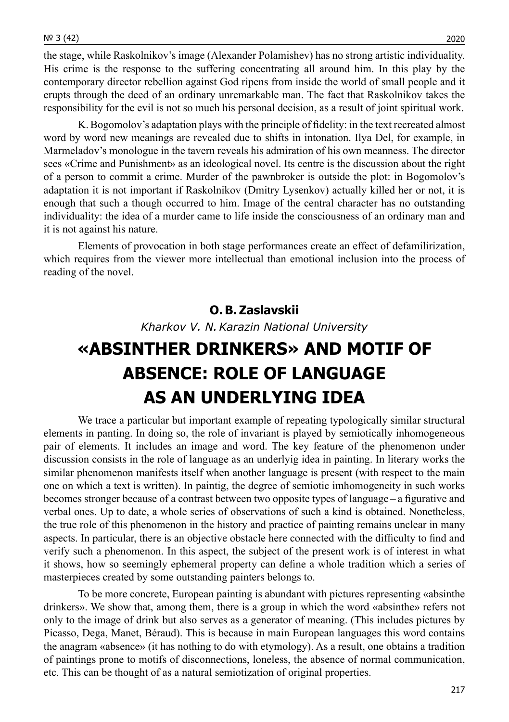the stage, while Raskolnikov's image (Alexander Polamishev) has no strong artistic individuality. His crime is the response to the suffering concentrating all around him. In this play by the contemporary director rebellion against God ripens from inside the world of small people and it erupts through the deed of an ordinary unremarkable man. The fact that Raskolnikov takes the responsibility for the evil is not so much his personal decision, as a result of joint spiritual work.

K. Bogomolov's adaptation plays with the principle of fidelity: in the text recreated almost word by word new meanings are revealed due to shifts in intonation. Ilya Del, for example, in Marmeladov's monologue in the tavern reveals his admiration of his own meanness. The director sees «Crime and Punishment» as an ideological novel. Its centre is the discussion about the right of a person to commit a crime. Murder of the pawnbroker is outside the plot: in Bogomolov's adaptation it is not important if Raskolnikov (Dmitry Lysenkov) actually killed her or not, it is enough that such a though occurred to him. Image of the central character has no outstanding individuality: the idea of a murder came to life inside the consciousness of an ordinary man and it is not against his nature.

Elements of provocation in both stage performances create an effect of defamilirization, which requires from the viewer more intellectual than emotional inclusion into the process of reading of the novel.

### **O. B. Zaslavskii**

*Kharkov V. N.Karazin National University*

## **«ABSINTHER DRINKERS» AND MOTIF OF ABSENCE: ROLE OF LANGUAGE AS AN UNDERLYING IDEA**

We trace a particular but important example of repeating typologically similar structural elements in panting. In doing so, the role of invariant is played by semiotically inhomogeneous pair of elements. It includes an image and word. The key feature of the phenomenon under discussion consists in the role of language as an underlyig idea in painting. In literary works the similar phenomenon manifests itself when another language is present (with respect to the main one on which a text is written). In paintig, the degree of semiotic imhomogeneity in such works becomes stronger because of a contrast between two opposite types of language – a figurative and verbal ones. Up to date, a whole series of observations of such a kind is obtained. Nonetheless, the true role of this phenomenon in the history and practice of painting remains unclear in many aspects. In particular, there is an objective obstacle here connected with the difficulty to find and verify such a phenomenon. In this aspect, the subject of the present work is of interest in what it shows, how so seemingly ephemeral property can define a whole tradition which a series of masterpieces created by some outstanding painters belongs to.

To be more concrete, European painting is abundant with pictures representing «absinthe drinkers». We show that, among them, there is a group in which the word «absinthe» refers not only to the image of drink but also serves as a generator of meaning. (This includes pictures by Picasso, Dega, Manet, Béraud). This is because in main European languages this word contains the anagram «absence» (it has nothing to do with etymology). As a result, one obtains a tradition of paintings prone to motifs of disconnections, loneless, the absence of normal communication, etc. This can be thought of as a natural semiotization of original properties.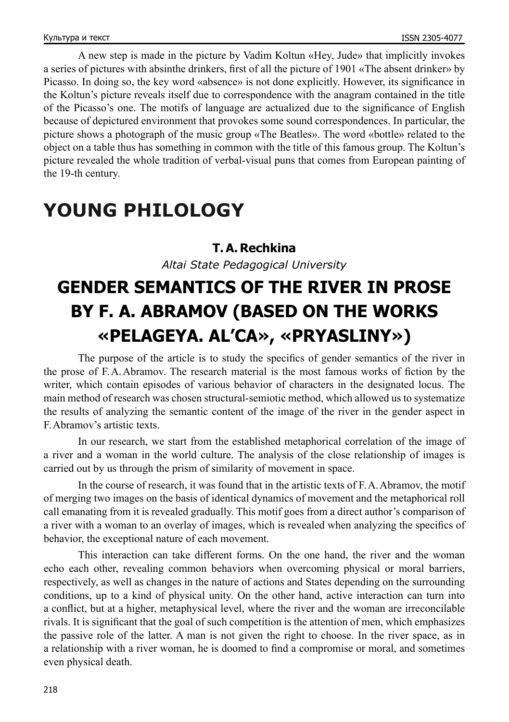A new step is made in the picture by Vadim Koltun «Hey, Jude» that implicitly invokes a series of pictures with absinthe drinkers, first of all the picture of 1901 «The absent drinker» by Picasso. In doing so, the key word «absence» is not done explicitly. However, its significance in the Koltun's picture reveals itself due to correspondence with the anagram contained in the title of the Picasso's one. The motifs of language are actualized due to the significance of English because of depictured environment that provokes some sound correspondences. In particular, the picture shows a photograph of the music group «The Beatles». The word «bottle» related to the object on a table thus has something in common with the title of this famous group. The Koltun's picture revealed the whole tradition of verbal-visual puns that comes from European painting of the 19-th century.

### **YOUNG PHILOLOGY**

### **T. A. Rechkina**

*Altai State Pedagogical University*

## **GENDER SEMANTICS OF THE RIVER IN PROSE BY F. A. ABRAMOV (BASED ON THE WORKS «PELAGEYA. AL'CA», «PRYASLINY»)**

The purpose of the article is to study the specifics of gender semantics of the river in the prose of F.A.Abramov. The research material is the most famous works of fiction by the writer, which contain episodes of various behavior of characters in the designated locus. The main method of research was chosen structural-semiotic method, which allowed us to systematize the results of analyzing the semantic content of the image of the river in the gender aspect in F.Abramov's artistic texts.

In our research, we start from the established metaphorical correlation of the image of a river and a woman in the world culture. The analysis of the close relationship of images is carried out by us through the prism of similarity of movement in space.

In the course of research, it was found that in the artistic texts of F.A.Abramov, the motif of merging two images on the basis of identical dynamics of movement and the metaphorical roll call emanating from it is revealed gradually. This motif goes from a direct author's comparison of a river with a woman to an overlay of images, which is revealed when analyzing the specifics of behavior, the exceptional nature of each movement.

This interaction can take different forms. On the one hand, the river and the woman echo each other, revealing common behaviors when overcoming physical or moral barriers, respectively, as well as changes in the nature of actions and States depending on the surrounding conditions, up to a kind of physical unity. On the other hand, active interaction can turn into a conflict, but at a higher, metaphysical level, where the river and the woman are irreconcilable rivals. It is significant that the goal of such competition is the attention of men, which emphasizes the passive role of the latter. A man is not given the right to choose. In the river space, as in a relationship with a river woman, he is doomed to find a compromise or moral, and sometimes even physical death.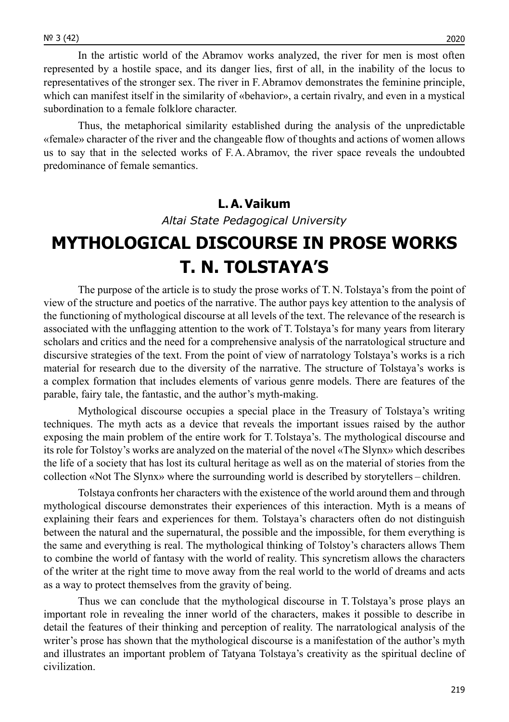In the artistic world of the Abramov works analyzed, the river for men is most often represented by a hostile space, and its danger lies, first of all, in the inability of the locus to representatives of the stronger sex. The river in F.Abramov demonstrates the feminine principle, which can manifest itself in the similarity of «behavior», a certain rivalry, and even in a mystical subordination to a female folklore character.

Thus, the metaphorical similarity established during the analysis of the unpredictable «female» character of the river and the changeable flow of thoughts and actions of women allows us to say that in the selected works of F.A.Abramov, the river space reveals the undoubted predominance of female semantics.

### **L. A. Vaikum**

*Altai State Pedagogical University*

### **MYTHOLOGICAL DISCOURSE IN PROSE WORKS T. N. TOLSTAYA'S**

The purpose of the article is to study the prose works of T. N.Tolstaya's from the point of view of the structure and poetics of the narrative. The author pays key attention to the analysis of the functioning of mythological discourse at all levels of the text. The relevance of the research is associated with the unflagging attention to the work of T.Tolstaya's for many years from literary scholars and critics and the need for a comprehensive analysis of the narratological structure and discursive strategies of the text. From the point of view of narratology Tolstaya's works is a rich material for research due to the diversity of the narrative. The structure of Tolstaya's works is a complex formation that includes elements of various genre models. There are features of the parable, fairy tale, the fantastic, and the author's myth-making.

Mythological discourse occupies a special place in the Treasury of Tolstaya's writing techniques. The myth acts as a device that reveals the important issues raised by the author exposing the main problem of the entire work for T.Tolstaya's. The mythological discourse and its role for Tolstoy's works are analyzed on the material of the novel «The Slynx» which describes the life of a society that has lost its cultural heritage as well as on the material of stories from the collection «Not The Slynx» where the surrounding world is described by storytellers – children.

Tolstaya confronts her characters with the existence of the world around them and through mythological discourse demonstrates their experiences of this interaction. Myth is a means of explaining their fears and experiences for them. Tolstaya's characters often do not distinguish between the natural and the supernatural, the possible and the impossible, for them everything is the same and everything is real. The mythological thinking of Tolstoy's characters allows Them to combine the world of fantasy with the world of reality. This syncretism allows the characters of the writer at the right time to move away from the real world to the world of dreams and acts as a way to protect themselves from the gravity of being.

Thus we can conclude that the mythological discourse in T.Tolstaya's prose plays an important role in revealing the inner world of the characters, makes it possible to describe in detail the features of their thinking and perception of reality. The narratological analysis of the writer's prose has shown that the mythological discourse is a manifestation of the author's myth and illustrates an important problem of Tatyana Tolstaya's creativity as the spiritual decline of civilization.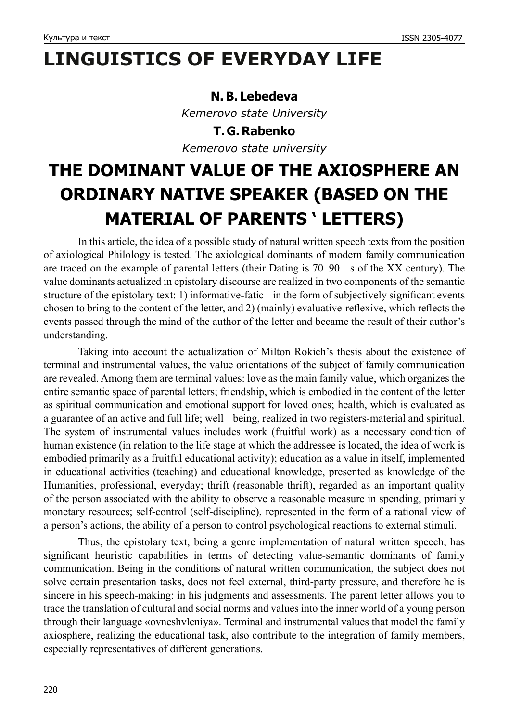# **LINGUISTICS OF EVERYDAY LIFE**

#### **N. B. Lebedeva**

*Kemerovo state University*

**T. G. Rabenko** *Kemerovo state university*

## **THE DOMINANT VALUE OF THE AXIOSPHERE AN ORDINARY NATIVE SPEAKER (BASED ON THE MATERIAL OF PARENTS ' LETTERS)**

In this article, the idea of a possible study of natural written speech texts from the position of axiological Philology is tested. The axiological dominants of modern family communication are traced on the example of parental letters (their Dating is 70–90 – s of the XX century). The value dominants actualized in epistolary discourse are realized in two components of the semantic structure of the epistolary text: 1) informative-fatic – in the form of subjectively significant events chosen to bring to the content of the letter, and 2) (mainly) evaluative-reflexive, which reflects the events passed through the mind of the author of the letter and became the result of their author's understanding.

Taking into account the actualization of Milton Rokich's thesis about the existence of terminal and instrumental values, the value orientations of the subject of family communication are revealed. Among them are terminal values: love as the main family value, which organizes the entire semantic space of parental letters; friendship, which is embodied in the content of the letter as spiritual communication and emotional support for loved ones; health, which is evaluated as a guarantee of an active and full life; well – being, realized in two registers-material and spiritual. The system of instrumental values includes work (fruitful work) as a necessary condition of human existence (in relation to the life stage at which the addressee is located, the idea of work is embodied primarily as a fruitful educational activity); education as a value in itself, implemented in educational activities (teaching) and educational knowledge, presented as knowledge of the Humanities, professional, everyday; thrift (reasonable thrift), regarded as an important quality of the person associated with the ability to observe a reasonable measure in spending, primarily monetary resources; self-control (self-discipline), represented in the form of a rational view of a person's actions, the ability of a person to control psychological reactions to external stimuli.

Thus, the epistolary text, being a genre implementation of natural written speech, has significant heuristic capabilities in terms of detecting value-semantic dominants of family communication. Being in the conditions of natural written communication, the subject does not solve certain presentation tasks, does not feel external, third-party pressure, and therefore he is sincere in his speech-making: in his judgments and assessments. The parent letter allows you to trace the translation of cultural and social norms and values into the inner world of a young person through their language «ovneshvleniya». Terminal and instrumental values that model the family axiosphere, realizing the educational task, also contribute to the integration of family members, especially representatives of different generations.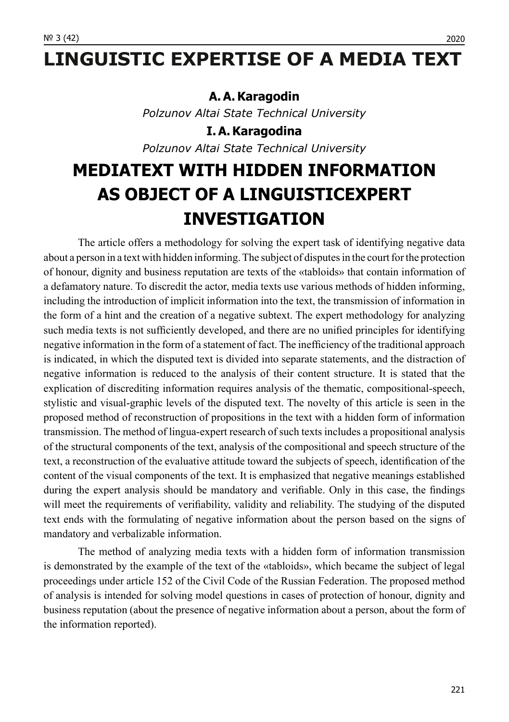## **LINGUISTIC EXPERTISE OF A MEDIA TEXT**

### A. A. Karagodin

*Polzunov Altai State Technical University*

**I. A. Karagodina** *Polzunov Altai State Technical University*

## **MEDIATEXT WITH HIDDEN INFORMATION AS OBJECT OF A LINGUISTICEXPERT INVESTIGATION**

The article offers a methodology for solving the expert task of identifying negative data about a person in a text with hidden informing. The subject of disputes in the court for the protection of honour, dignity and business reputation are texts of the «tabloids» that contain information of a defamatory nature. To discredit the actor, media texts use various methods of hidden informing, including the introduction of implicit information into the text, the transmission of information in the form of a hint and the creation of a negative subtext. The expert methodology for analyzing such media texts is not sufficiently developed, and there are no unified principles for identifying negative information in the form of a statement of fact. The inefficiency of the traditional approach is indicated, in which the disputed text is divided into separate statements, and the distraction of negative information is reduced to the analysis of their content structure. It is stated that the explication of discrediting information requires analysis of the thematic, compositional-speech, stylistic and visual-graphic levels of the disputed text. The novelty of this article is seen in the proposed method of reconstruction of propositions in the text with a hidden form of information transmission. The method of lingua-expert research of such texts includes a propositional analysis of the structural components of the text, analysis of the compositional and speech structure of the text, a reconstruction of the evaluative attitude toward the subjects of speech, identification of the content of the visual components of the text. It is emphasized that negative meanings established during the expert analysis should be mandatory and verifiable. Only in this case, the findings will meet the requirements of verifiability, validity and reliability. The studying of the disputed text ends with the formulating of negative information about the person based on the signs of mandatory and verbalizable information.

The method of analyzing media texts with a hidden form of information transmission is demonstrated by the example of the text of the «tabloids», which became the subject of legal proceedings under article 152 of the Civil Code of the Russian Federation. The proposed method of analysis is intended for solving model questions in cases of protection of honour, dignity and business reputation (about the presence of negative information about a person, about the form of the information reported).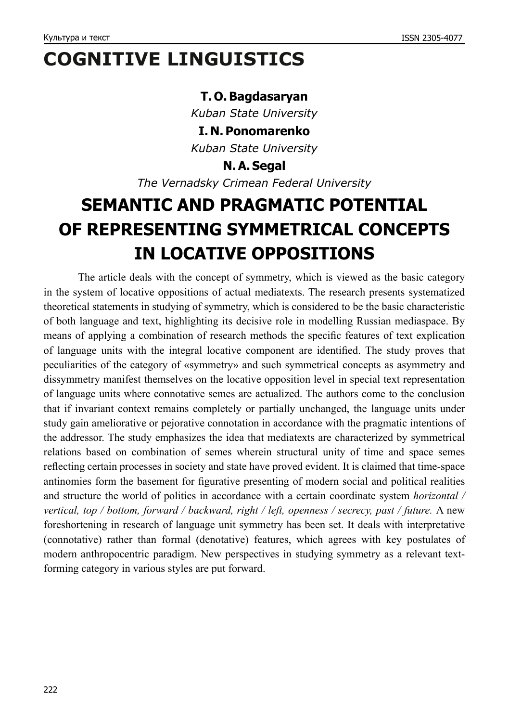## **COGNITIVE LINGUISTICS**

### **T. O. Bagdasaryan**

*Kuban State University*

**I. N. Ponomarenko**

*Kuban State University*

**N. A. Segal**

*The Vernadsky Crimean Federal University*

## **SEMANTIC AND PRAGMATIC POTENTIAL OF REPRESENTING SYMMETRICAL CONCEPTS IN LOCATIVE OPPOSITIONS**

The article deals with the concept of symmetry, which is viewed as the basic category in the system of locative oppositions of actual mediatexts. The research presents systematized theoretical statements in studying of symmetry, which is considered to be the basic characteristic of both language and text, highlighting its decisive role in modelling Russian mediaspace. By means of applying a combination of research methods the specific features of text explication of language units with the integral locative component are identified. The study proves that peculiarities of the category of «symmetry» and such symmetrical concepts as asymmetry and dissymmetry manifest themselves on the locative opposition level in special text representation of language units where connotative semes are actualized. The authors come to the conclusion that if invariant context remains completely or partially unchanged, the language units under study gain ameliorative or pejorative connotation in accordance with the pragmatic intentions of the addressor. The study emphasizes the idea that mediatexts are characterized by symmetrical relations based on combination of semes wherein structural unity of time and space semes reflecting certain processes in society and state have proved evident. It is claimed that time-space antinomies form the basement for figurative presenting of modern social and political realities and structure the world of politics in accordance with a certain coordinate system *horizontal / vertical, top / bottom, forward / backward, right / left, openness / secrecy, past / future.* A new foreshortening in research of language unit symmetry has been set. It deals with interpretative (connotative) rather than formal (denotative) features, which agrees with key postulates of modern anthropocentric paradigm. New perspectives in studying symmetry as a relevant textforming category in various styles are put forward.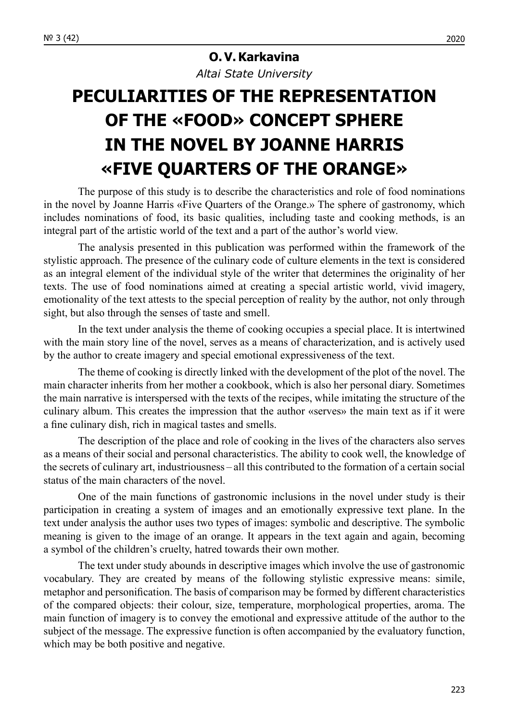### **O. V. Karkavina**

*Altai State University*

## **PECULIARITIES OF THE REPRESENTATION OF THE «FOOD» CONCEPT SPHERE IN THE NOVEL BY JOANNE HARRIS «FIVE QUARTERS OF THE ORANGE»**

The purpose of this study is to describe the characteristics and role of food nominations in the novel by Joanne Harris «Five Quarters of the Orange.» The sphere of gastronomy, which includes nominations of food, its basic qualities, including taste and cooking methods, is an integral part of the artistic world of the text and a part of the author's world view.

The analysis presented in this publication was performed within the framework of the stylistic approach. The presence of the culinary code of culture elements in the text is considered as an integral element of the individual style of the writer that determines the originality of her texts. The use of food nominations aimed at creating a special artistic world, vivid imagery, emotionality of the text attests to the special perception of reality by the author, not only through sight, but also through the senses of taste and smell.

In the text under analysis the theme of cooking occupies a special place. It is intertwined with the main story line of the novel, serves as a means of characterization, and is actively used by the author to create imagery and special emotional expressiveness of the text.

The theme of cooking is directly linked with the development of the plot of the novel. The main character inherits from her mother a cookbook, which is also her personal diary. Sometimes the main narrative is interspersed with the texts of the recipes, while imitating the structure of the culinary album. This creates the impression that the author «serves» the main text as if it were a fine culinary dish, rich in magical tastes and smells.

The description of the place and role of cooking in the lives of the characters also serves as a means of their social and personal characteristics. The ability to cook well, the knowledge of the secrets of culinary art, industriousness – all this contributed to the formation of a certain social status of the main characters of the novel.

One of the main functions of gastronomic inclusions in the novel under study is their participation in creating a system of images and an emotionally expressive text plane. In the text under analysis the author uses two types of images: symbolic and descriptive. The symbolic meaning is given to the image of an orange. It appears in the text again and again, becoming a symbol of the children's cruelty, hatred towards their own mother.

The text under study abounds in descriptive images which involve the use of gastronomic vocabulary. They are created by means of the following stylistic expressive means: simile, metaphor and personification. The basis of comparison may be formed by different characteristics of the compared objects: their colour, size, temperature, morphological properties, aroma. The main function of imagery is to convey the emotional and expressive attitude of the author to the subject of the message. The expressive function is often accompanied by the evaluatory function, which may be both positive and negative.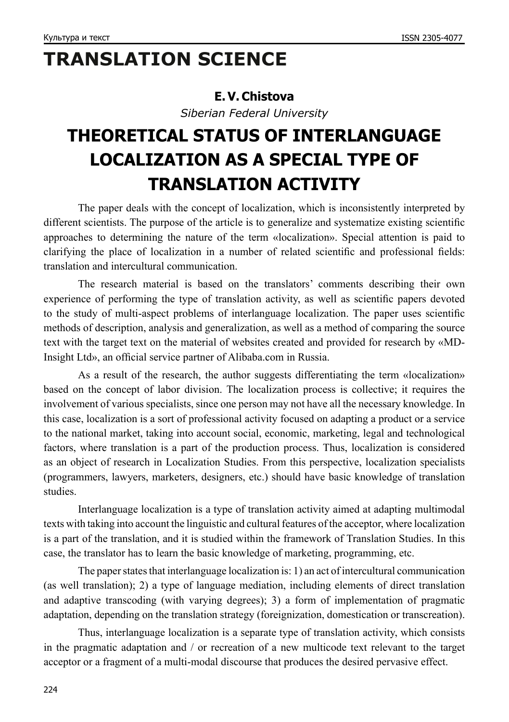# **TRANSLATION SCIENCE**

### **E. V. Chistova**

*Siberian Federal University*

## **THEORETICAL STATUS OF INTERLANGUAGE LOCALIZATION AS A SPECIAL TYPE OF TRANSLATION ACTIVITY**

The paper deals with the concept of localization, which is inconsistently interpreted by different scientists. The purpose of the article is to generalize and systematize existing scientific approaches to determining the nature of the term «localization». Special attention is paid to clarifying the place of localization in a number of related scientific and professional fields: translation and intercultural communication.

The research material is based on the translators' comments describing their own experience of performing the type of translation activity, as well as scientific papers devoted to the study of multi-aspect problems of interlanguage localization. The paper uses scientific methods of description, analysis and generalization, as well as a method of comparing the source text with the target text on the material of websites created and provided for research by «MD-Insight Ltd», an official service partner of Alibaba.com in Russia.

As a result of the research, the author suggests differentiating the term «localization» based on the concept of labor division. The localization process is collective; it requires the involvement of various specialists, since one person may not have all the necessary knowledge. In this case, localization is a sort of professional activity focused on adapting a product or a service to the national market, taking into account social, economic, marketing, legal and technological factors, where translation is a part of the production process. Thus, localization is considered as an object of research in Localization Studies. From this perspective, localization specialists (programmers, lawyers, marketers, designers, etc.) should have basic knowledge of translation studies.

Interlanguage localization is a type of translation activity aimed at adapting multimodal texts with taking into account the linguistic and cultural features of the acceptor, where localization is a part of the translation, and it is studied within the framework of Translation Studies. In this case, the translator has to learn the basic knowledge of marketing, programming, etc.

The paper states that interlanguage localization is: 1) an act of intercultural communication (as well translation); 2) a type of language mediation, including elements of direct translation and adaptive transcoding (with varying degrees); 3) a form of implementation of pragmatic adaptation, depending on the translation strategy (foreignization, domestication or transcreation).

Thus, interlanguage localization is a separate type of translation activity, which consists in the pragmatic adaptation and / or recreation of a new multicode text relevant to the target acceptor or a fragment of a multi-modal discourse that produces the desired pervasive effect.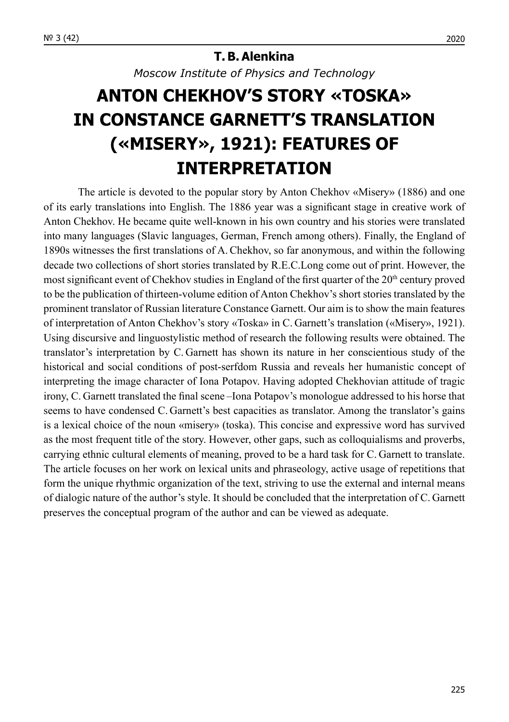### **T. B. Alenkina**

*Moscow Institute of Physics and Technology*

## **ANTON CHEKHOV'S STORY «TOSKA» IN CONSTANCE GARNETT'S TRANSLATION («MISERY», 1921): FEATURES OF INTERPRETATION**

The article is devoted to the popular story by Anton Chekhov «Misery» (1886) and one of its early translations into English. The 1886 year was a significant stage in creative work of Anton Chekhov. He became quite well-known in his own country and his stories were translated into many languages (Slavic languages, German, French among others). Finally, the England of 1890s witnesses the first translations of A.Chekhov, so far anonymous, and within the following decade two collections of short stories translated by R.E.C.Long come out of print. However, the most significant event of Chekhov studies in England of the first quarter of the  $20<sup>th</sup>$  century proved to be the publication of thirteen-volume edition of Anton Chekhov's short stories translated by the prominent translator of Russian literature Constance Garnett. Our aim is to show the main features of interpretation of Anton Chekhov's story «Toska» in C. Garnett's translation («Misery», 1921). Using discursive and linguostylistic method of research the following results were obtained. The translator's interpretation by C. Garnett has shown its nature in her conscientious study of the historical and social conditions of post-serfdom Russia and reveals her humanistic concept of interpreting the image character of Iona Potapov. Having adopted Chekhovian attitude of tragic irony, C. Garnett translated the final scene –Iona Potapov's monologue addressed to his horse that seems to have condensed C. Garnett's best capacities as translator. Among the translator's gains is a lexical choice of the noun «misery» (toska). This concise and expressive word has survived as the most frequent title of the story. However, other gaps, such as colloquialisms and proverbs, carrying ethnic cultural elements of meaning, proved to be a hard task for C. Garnett to translate. The article focuses on her work on lexical units and phraseology, active usage of repetitions that form the unique rhythmic organization of the text, striving to use the external and internal means of dialogic nature of the author's style. It should be concluded that the interpretation of C. Garnett preserves the conceptual program of the author and can be viewed as adequate.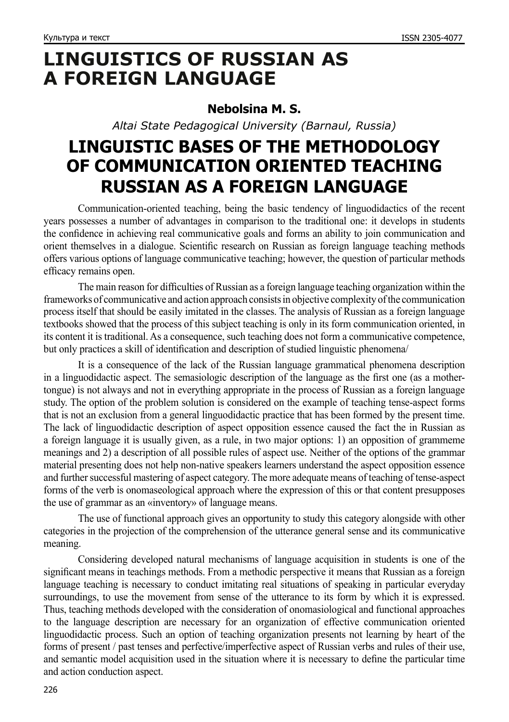### **LINGUISTICS OF RUSSIAN AS A FOREIGN LANGUAGE**

### **Nebolsina M. S.**

*Altai State Pedagogical University (Barnaul, Russia)*

### **LINGUISTIC BASES OF THE METHODOLOGY OF COMMUNICATION ORIENTED TEACHING RUSSIAN AS A FOREIGN LANGUAGE**

Communication-oriented teaching, being the basic tendency of linguodidactics of the recent years possesses a number of advantages in comparison to the traditional one: it develops in students the confidence in achieving real communicative goals and forms an ability to join communication and orient themselves in a dialogue. Scientific research on Russian as foreign language teaching methods offers various options of language communicative teaching; however, the question of particular methods efficacy remains open.

The main reason for difficulties of Russian as a foreign language teaching organization within the frameworks of communicative and action approach consists in objective complexity of the communication process itself that should be easily imitated in the classes. The analysis of Russian as a foreign language textbooks showed that the process of this subject teaching is only in its form communication oriented, in its content it is traditional. As a consequence, such teaching does not form a communicative competence, but only practices a skill of identification and description of studied linguistic phenomena/

It is a consequence of the lack of the Russian language grammatical phenomena description in a linguodidactic aspect. The semasiologic description of the language as the first one (as a mothertongue) is not always and not in everything appropriate in the process of Russian as a foreign language study. The option of the problem solution is considered on the example of teaching tense-aspect forms that is not an exclusion from a general linguodidactic practice that has been formed by the present time. The lack of linguodidactic description of aspect opposition essence caused the fact the in Russian as a foreign language it is usually given, as a rule, in two major options: 1) an opposition of grammeme meanings and 2) a description of all possible rules of aspect use. Neither of the options of the grammar material presenting does not help non-native speakers learners understand the aspect opposition essence and further successful mastering of aspect category. The more adequate means of teaching of tense-aspect forms of the verb is onomaseological approach where the expression of this or that content presupposes the use of grammar as an «inventory» of language means.

The use of functional approach gives an opportunity to study this category alongside with other categories in the projection of the comprehension of the utterance general sense and its communicative meaning.

Considering developed natural mechanisms of language acquisition in students is one of the significant means in teachings methods. From a methodic perspective it means that Russian as a foreign language teaching is necessary to conduct imitating real situations of speaking in particular everyday surroundings, to use the movement from sense of the utterance to its form by which it is expressed. Thus, teaching methods developed with the consideration of onomasiological and functional approaches to the language description are necessary for an organization of effective communication oriented linguodidactic process. Such an option of teaching organization presents not learning by heart of the forms of present / past tenses and perfective/imperfective aspect of Russian verbs and rules of their use, and semantic model acquisition used in the situation where it is necessary to define the particular time and action conduction aspect.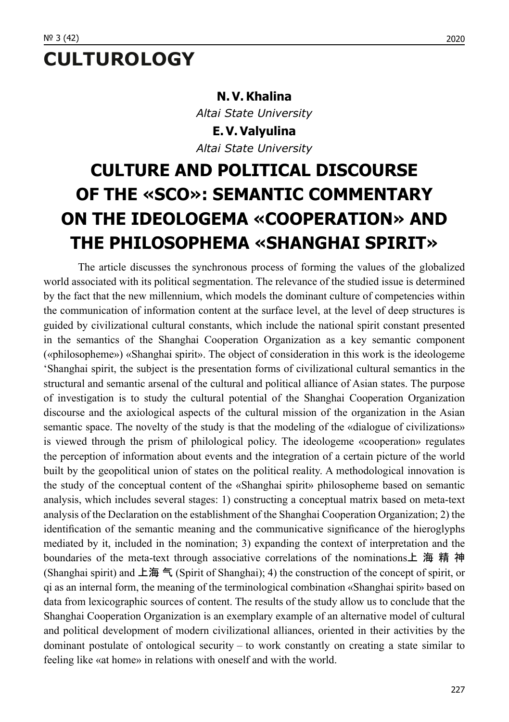## **CULTUROLOGY**

### **N. V. Khalina**

*Altai State University* **E. V. Valyulina** *Altai State University*

## **CULTURE AND POLITICAL DISCOURSE OF THE «SCO»: SEMANTIC COMMENTARY ON THE IDEOLOGEMA «COOPERATION» AND THE PHILOSOPHEMA «SHANGHAI SPIRIT»**

The article discusses the synchronous process of forming the values of the globalized world associated with its political segmentation. The relevance of the studied issue is determined by the fact that the new millennium, which models the dominant culture of competencies within the communication of information content at the surface level, at the level of deep structures is guided by civilizational cultural constants, which include the national spirit constant presented in the semantics of the Shanghai Cooperation Organization as a key semantic component («philosopheme») «Shanghai spirit». The object of consideration in this work is the ideologeme 'Shanghai spirit, the subject is the presentation forms of civilizational cultural semantics in the structural and semantic arsenal of the cultural and political alliance of Asian states. The purpose of investigation is to study the cultural potential of the Shanghai Cooperation Organization discourse and the axiological aspects of the cultural mission of the organization in the Asian semantic space. The novelty of the study is that the modeling of the «dialogue of civilizations» is viewed through the prism of philological policy. The ideologeme «cooperation» regulates the perception of information about events and the integration of a certain picture of the world built by the geopolitical union of states on the political reality. A methodological innovation is the study of the conceptual content of the «Shanghai spirit» philosopheme based on semantic analysis, which includes several stages: 1) constructing a conceptual matrix based on meta-text analysis of the Declaration on the establishment of the Shanghai Cooperation Organization; 2) the identification of the semantic meaning and the communicative significance of the hieroglyphs mediated by it, included in the nomination; 3) expanding the context of interpretation and the boundaries of the meta-text through associative correlations of the nominations 上 海 精 神 (Shanghai spirit) and 上海 气 (Spirit of Shanghai); 4) the construction of the concept of spirit, or qi as an internal form, the meaning of the terminological combination «Shanghai spirit» based on data from lexicographic sources of content. The results of the study allow us to conclude that the Shanghai Cooperation Organization is an exemplary example of an alternative model of cultural and political development of modern civilizational alliances, oriented in their activities by the dominant postulate of ontological security – to work constantly on creating a state similar to feeling like «at home» in relations with oneself and with the world.